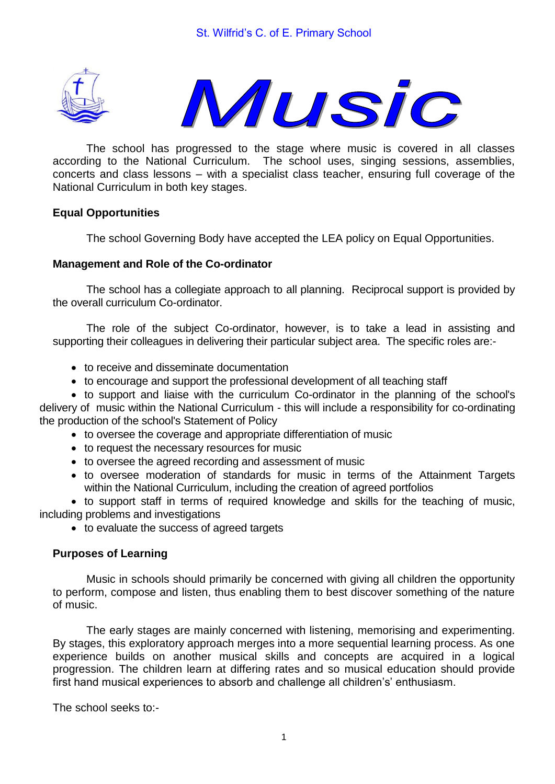



The school has progressed to the stage where music is covered in all classes according to the National Curriculum. The school uses, singing sessions, assemblies, concerts and class lessons – with a specialist class teacher, ensuring full coverage of the National Curriculum in both key stages.

# **Equal Opportunities**

The school Governing Body have accepted the LEA policy on Equal Opportunities.

#### **Management and Role of the Co-ordinator**

The school has a collegiate approach to all planning. Reciprocal support is provided by the overall curriculum Co-ordinator.

The role of the subject Co-ordinator, however, is to take a lead in assisting and supporting their colleagues in delivering their particular subject area. The specific roles are:-

- to receive and disseminate documentation
- to encourage and support the professional development of all teaching staff

 to support and liaise with the curriculum Co-ordinator in the planning of the school's delivery of music within the National Curriculum - this will include a responsibility for co-ordinating the production of the school's Statement of Policy

- to oversee the coverage and appropriate differentiation of music
- to request the necessary resources for music
- to oversee the agreed recording and assessment of music
- to oversee moderation of standards for music in terms of the Attainment Targets within the National Curriculum, including the creation of agreed portfolios

 to support staff in terms of required knowledge and skills for the teaching of music, including problems and investigations

• to evaluate the success of agreed targets

# **Purposes of Learning**

Music in schools should primarily be concerned with giving all children the opportunity to perform, compose and listen, thus enabling them to best discover something of the nature of music.

The early stages are mainly concerned with listening, memorising and experimenting. By stages, this exploratory approach merges into a more sequential learning process. As one experience builds on another musical skills and concepts are acquired in a logical progression. The children learn at differing rates and so musical education should provide first hand musical experiences to absorb and challenge all children's' enthusiasm.

The school seeks to:-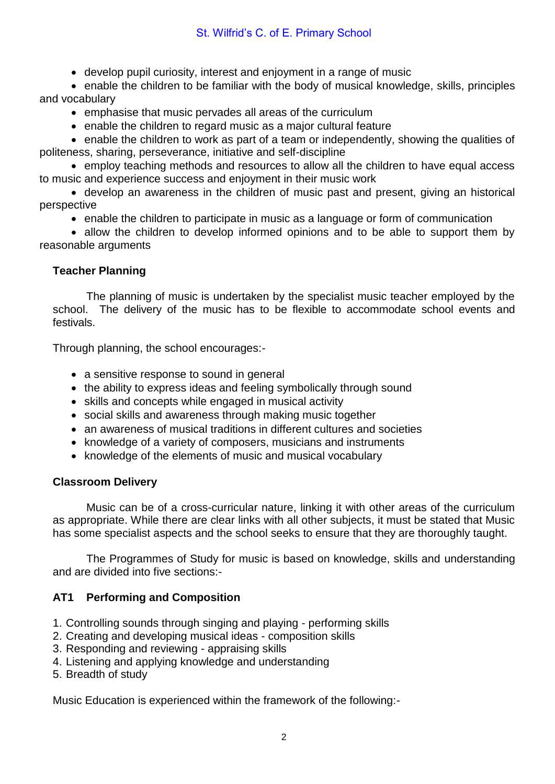# St. Wilfrid's C. of E. Primary School

develop pupil curiosity, interest and enjoyment in a range of music

 enable the children to be familiar with the body of musical knowledge, skills, principles and vocabulary

- emphasise that music pervades all areas of the curriculum
- enable the children to regard music as a major cultural feature

 enable the children to work as part of a team or independently, showing the qualities of politeness, sharing, perseverance, initiative and self-discipline

 employ teaching methods and resources to allow all the children to have equal access to music and experience success and enjoyment in their music work

 develop an awareness in the children of music past and present, giving an historical perspective

enable the children to participate in music as a language or form of communication

• allow the children to develop informed opinions and to be able to support them by reasonable arguments

# **Teacher Planning**

The planning of music is undertaken by the specialist music teacher employed by the school. The delivery of the music has to be flexible to accommodate school events and festivals.

Through planning, the school encourages:-

- a sensitive response to sound in general
- the ability to express ideas and feeling symbolically through sound
- skills and concepts while engaged in musical activity
- social skills and awareness through making music together
- an awareness of musical traditions in different cultures and societies
- knowledge of a variety of composers, musicians and instruments
- knowledge of the elements of music and musical vocabulary

# **Classroom Delivery**

Music can be of a cross-curricular nature, linking it with other areas of the curriculum as appropriate. While there are clear links with all other subjects, it must be stated that Music has some specialist aspects and the school seeks to ensure that they are thoroughly taught.

The Programmes of Study for music is based on knowledge, skills and understanding and are divided into five sections:-

# **AT1 Performing and Composition**

- 1. Controlling sounds through singing and playing performing skills
- 2. Creating and developing musical ideas composition skills
- 3. Responding and reviewing appraising skills
- 4. Listening and applying knowledge and understanding
- 5. Breadth of study

Music Education is experienced within the framework of the following:-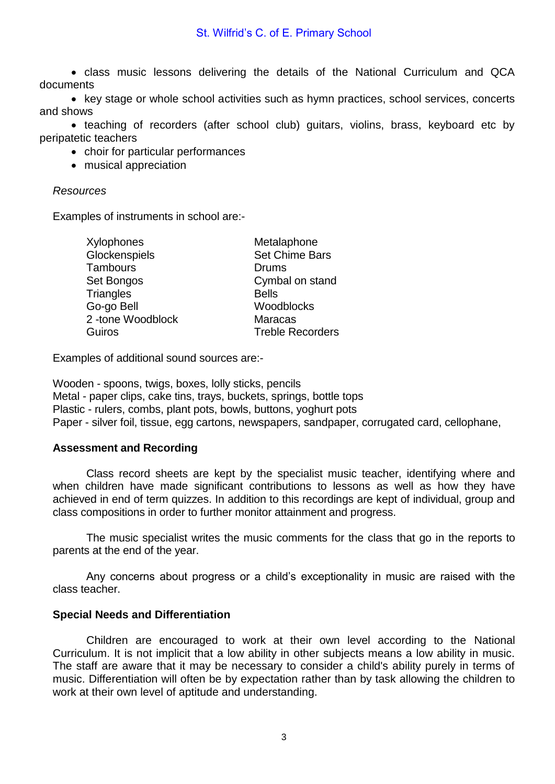# St. Wilfrid's C. of E. Primary School

 class music lessons delivering the details of the National Curriculum and QCA documents

• key stage or whole school activities such as hymn practices, school services, concerts and shows

• teaching of recorders (after school club) guitars, violins, brass, keyboard etc by peripatetic teachers

- choir for particular performances
- musical appreciation

#### *Resources*

Examples of instruments in school are:-

| Xylophones       | Metalaphone             |
|------------------|-------------------------|
| Glockenspiels    | <b>Set Chime Bars</b>   |
| <b>Tambours</b>  | <b>Drums</b>            |
| Set Bongos       | Cymbal on stand         |
| Triangles        | <b>Bells</b>            |
| Go-go Bell       | Woodblocks              |
| 2-tone Woodblock | <b>Maracas</b>          |
| Guiros           | <b>Treble Recorders</b> |
|                  |                         |

Examples of additional sound sources are:-

Wooden - spoons, twigs, boxes, lolly sticks, pencils Metal - paper clips, cake tins, trays, buckets, springs, bottle tops Plastic - rulers, combs, plant pots, bowls, buttons, yoghurt pots Paper - silver foil, tissue, egg cartons, newspapers, sandpaper, corrugated card, cellophane,

# **Assessment and Recording**

Class record sheets are kept by the specialist music teacher, identifying where and when children have made significant contributions to lessons as well as how they have achieved in end of term quizzes. In addition to this recordings are kept of individual, group and class compositions in order to further monitor attainment and progress.

The music specialist writes the music comments for the class that go in the reports to parents at the end of the year.

Any concerns about progress or a child's exceptionality in music are raised with the class teacher.

#### **Special Needs and Differentiation**

Children are encouraged to work at their own level according to the National Curriculum. It is not implicit that a low ability in other subjects means a low ability in music. The staff are aware that it may be necessary to consider a child's ability purely in terms of music. Differentiation will often be by expectation rather than by task allowing the children to work at their own level of aptitude and understanding.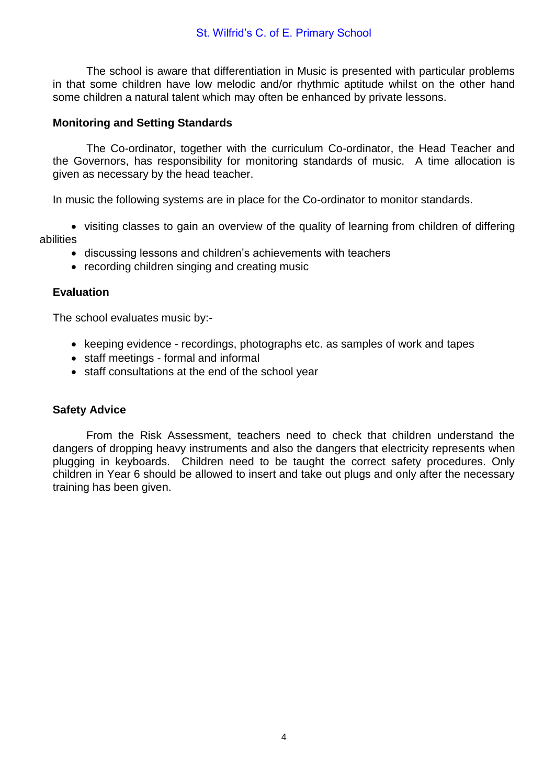The school is aware that differentiation in Music is presented with particular problems in that some children have low melodic and/or rhythmic aptitude whilst on the other hand some children a natural talent which may often be enhanced by private lessons.

#### **Monitoring and Setting Standards**

The Co-ordinator, together with the curriculum Co-ordinator, the Head Teacher and the Governors, has responsibility for monitoring standards of music. A time allocation is given as necessary by the head teacher.

In music the following systems are in place for the Co-ordinator to monitor standards.

 visiting classes to gain an overview of the quality of learning from children of differing abilities

- discussing lessons and children's achievements with teachers
- recording children singing and creating music

#### **Evaluation**

The school evaluates music by:-

- keeping evidence recordings, photographs etc. as samples of work and tapes
- staff meetings formal and informal
- staff consultations at the end of the school year

# **Safety Advice**

From the Risk Assessment, teachers need to check that children understand the dangers of dropping heavy instruments and also the dangers that electricity represents when plugging in keyboards. Children need to be taught the correct safety procedures. Only children in Year 6 should be allowed to insert and take out plugs and only after the necessary training has been given.